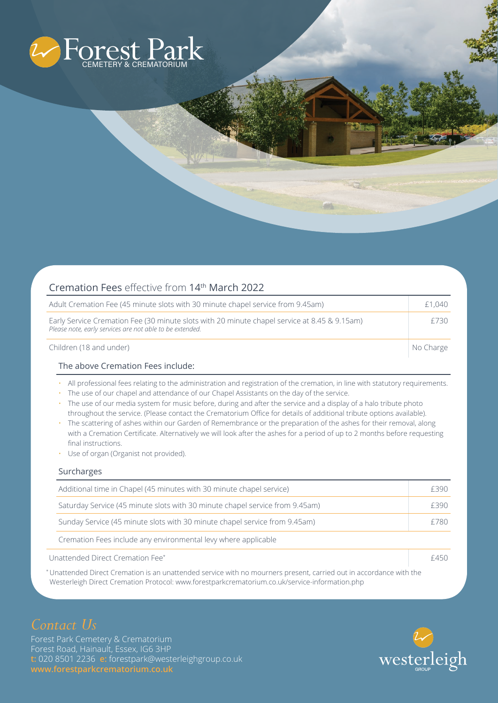

| Cremation Fees effective from 14 <sup>th</sup> March 2022                                                                                                |           |
|----------------------------------------------------------------------------------------------------------------------------------------------------------|-----------|
| Adult Cremation Fee (45 minute slots with 30 minute chapel service from 9.45am)                                                                          | £1,040    |
| Early Service Cremation Fee (30 minute slots with 20 minute chapel service at 8.45 & 9.15am)<br>Please note, early services are not able to be extended. | £730      |
| Children (18 and under)                                                                                                                                  | No Charge |

## The above Cremation Fees include:

- All professional fees relating to the administration and registration of the cremation, in line with statutory requirements.
- The use of our chapel and attendance of our Chapel Assistants on the day of the service.
- The use of our media system for music before, during and after the service and a display of a halo tribute photo throughout the service. (Please contact the Crematorium Office for details of additional tribute options available).
- The scattering of ashes within our Garden of Remembrance or the preparation of the ashes for their removal, along with a Cremation Certificate. Alternatively we will look after the ashes for a period of up to 2 months before requesting final instructions.
- Use of organ (Organist not provided).

## Surcharges

|                                  | Additional time in Chapel (45 minutes with 30 minute chapel service)         | F390 |
|----------------------------------|------------------------------------------------------------------------------|------|
|                                  | Saturday Service (45 minute slots with 30 minute chapel service from 9.45am) | F390 |
|                                  | Sunday Service (45 minute slots with 30 minute chapel service from 9.45am)   | £780 |
|                                  | Cremation Fees include any environmental levy where applicable               |      |
| Unattended Direct Cremation Fee* |                                                                              | £450 |

\* Unattended Direct Cremation is an unattended service with no mourners present, carried out in accordance with the Westerleigh Direct Cremation Protocol: www.forestparkcrematorium.co.uk/service-information.php

Forest Park Cemetery & Crematorium Forest Road, Hainault, Essex, IG6 3HP **t:** 020 8501 2236 **e:** forestpark@westerleighgroup.co.uk